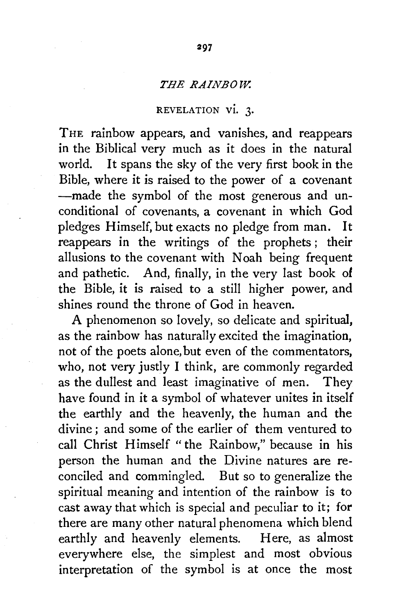## *THE RAINBOW.*

## REVELATION VI. 3.

THE rainbow appears, and vanishes, and reappears in the Biblical very much as it does in the natural world. It spans the sky of the very first book in the Bible, where it is raised to the power of a covenant -made the symbol of the most generous and unconditional of covenants, a covenant in which God pledges Himself, but exacts no pledge from man. It reappears in the writings of the prophets ; their allusions to the covenant with Noah being frequent and pathetic. And, finally, in the very last book of the Bible, it is raised to a still higher power, and shines round the throne of God in heaven.

A phenomenon so lovely, so delicate and spiritual, as the rainbow has naturally excited the imagination, not of the poets alone, but even of the commentators, who, not very justly I think, are commonly regarded as the dullest and least imaginative of men. They have found in it a symbol of whatever unites in itself the earthly and the heavenly, the human and the divine ; and some of the earlier of them ventured to call Christ Himself "the Rainbow," because in his person the human and the Divine natures are reconciled and commingled. But so to generalize the spiritual meaning and intention of the rainbow is to cast away that which is special and peculiar to it; for there are many other natural phenomena which blend earthly and heavenly elements. Here, as almost everywhere else, the simplest and most obvious interpretation of the symbol is at once the most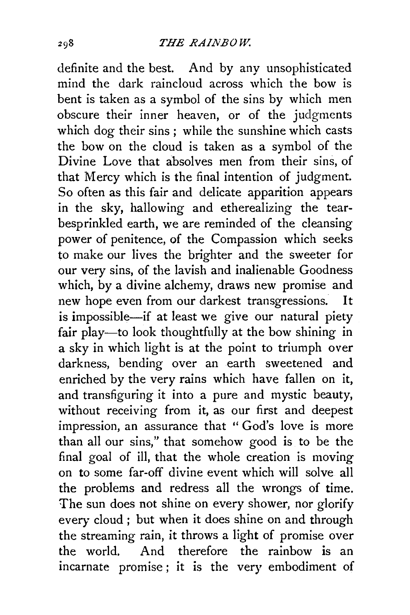definite and the best. And by any unsophisticated mind the dark raincloud across which the bow is bent is taken as a symbol of the sins by which men obscure their inner heaven, or of the judgments which dog their sins; while the sunshine which casts the bow on the cloud is taken as a symbol of the Divine Love that absolves men from their sins, of that Mercy which is the final intention of judgment. So often as this fair and delicate apparition appears in the sky, hallowing and etherealizing the tearbesprinkled earth, we are reminded of the cleansing power of penitence, of the Compassion which seeks to make our lives the brighter and the sweeter for our very sins, of the lavish and inalienable Goodness which, by a divine alchemy, draws new promise and new hope even from our darkest transgressions. It is impossible-if at least we give our natural piety fair play-to look thoughtfully at the bow shining in a sky in which light is at the point to triumph over darkness, bending over an earth sweetened and enriched by the very rains which have fallen on it, and transfiguring it into a pure and mystic beauty, without receiving from it, as our first and deepest impression, an assurance that "God's love is more than all our sins," that somehow good is to be the final goal of ill, that the whole creation is moving on to some far-off divine event which will solve all the problems and redress all the wrongs of time. The sun does not shine on every shower, nor glorify every cloud ; but when it does shine on and through the streaming rain, it throws a light of promise over the world. And therefore the rainbow is an incarnate promise ; it is the very embodiment of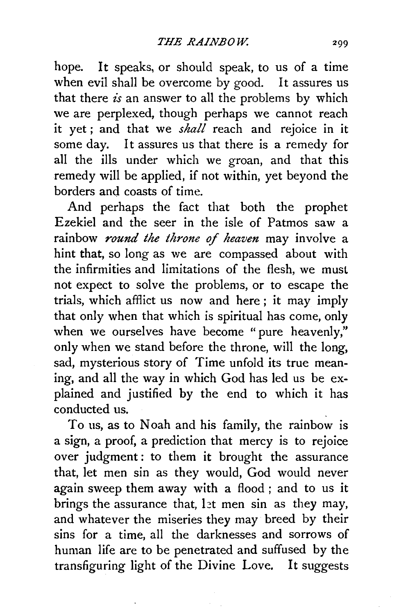hope. It speaks, or should speak, to us of a time when evil shall be overcome by good. It assures us that there *is* an answer to all the problems by which we are perplexed, though perhaps we cannot reach it yet ; and that we *shall* reach and rejoice in it some day. It assures us that there is a remedy for all the ills under which we groan, and that this remedy will be applied, if not within, yet beyond the borders and coasts of time.

And perhaps the fact that both the prophet Ezekiel and the seer in the isle of Patmos saw a rainbow *round the throne of heaven* may involve a hint that, so long as we are compassed about with the infirmities and limitations of the flesh, we must not expect to solve the problems, or to escape the trials, which afflict us now and here ; it may imply that only when that which is spiritual has come, only when we ourselves have become "pure heavenly," only when we stand before the throne, will the long, sad, mysterious story of Time unfold its true meaning, and all the way in which God has led us be explained and justified by the end to which it has conducted us.

To us, as to Noah and his family, the rainbow is a sign, a proof, a prediction that mercy is to rejoice over judgment: to them it brought the assurance that, let men sin as they would, God would never again sweep them away with a flood; and to us it brings the assurance that, let men sin as they may, and whatever the miseries they may breed by their sins for a time, all the darknesses and sorrows of human life are to be penetrated and suffused by the transfiguring light of the Divine Love. It suggests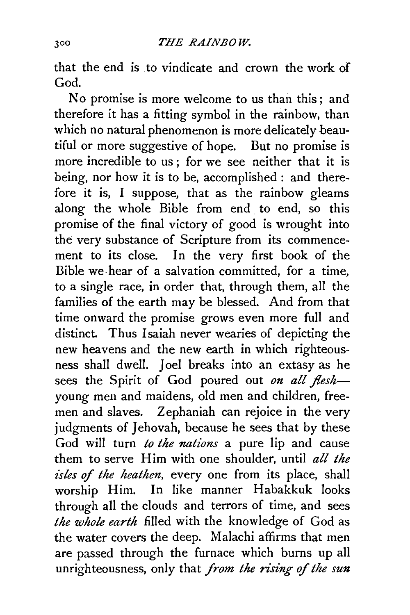that the end is to vindicate and crown the work of God.

No promise is more welcome to us than this ; and therefore it has a fitting symbol in the rainbow, than which no natural phenomenon is more delicately beautiful or more suggestive of hope. But no promise is more incredible to us ; for we see neither that it is being, nor how it is to be, accomplished: and therefore it is, I suppose, that as the rainbow gleams along the whole Bible from end to end, so this promise of the final victory of good is wrought into the very substance of Scripture from its commencement to its close. In the very first book of the Bible we-hear of a salvation committed, for a time, to a single race, in order that, through them, all the families of the earth may be blessed. And from that time onward the promise grows even more full and distinct. Thus Isaiah never wearies of depicting the new heavens and the new earth in which righteousness shall dwell. Joel breaks into an extasy as he sees the Spirit of God poured out *on all flesh*young men and maidens, old men and children, freemen and slaves. Zephaniah can rejoice in the very judgments of Jehovah, because he sees that by these God will turn *to the nations* a pure lip and cause them to serve Him with one shoulder, until *all the*  isles of the heathen, every one from its place, shall worship Him. In like manner Habakkuk looks through all the clouds and terrors of time, and sees *the whole earth* filled with the knowledge of God as the water covers the deep. Malachi affirms that men are passed through the furnace which burns up all unrighteousness, only that *from the rising of the sun*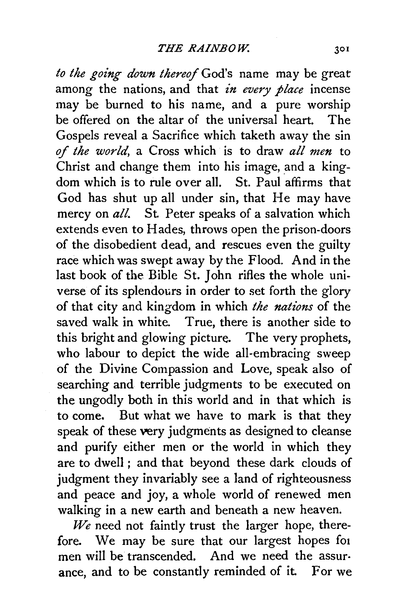to the going down thereof God's name may be great among the nations, and that *in every place* incense may be burned to his name, and a pure worship be offered on the altar of the universal heart. The Gospels reveal a Sacrifice which taketh away the sin *of the world,* a Cross which is to draw *all men* to Christ and change them into his image, and a kingdom which is to rule over all. St. Paul affirms that God has shut up all under sin, that He may have mercy on *all.* St. Peter speaks of a salvation which extends even to Hades, throws open the prison-doors of the disobedient dead, and rescues even the guilty race which was swept away by the Flood. And in the last book of the Bible St. John rifles the whole universe of its splendours in order to set forth the glory of that city and kingdom in which *the nations* of the saved walk in white. True, there is another side to this bright and glowing picture. The very prophets, who labour to depict the wide all-embracing sweep of the Divine Compassion and Love, speak also of searching and terrible judgments to be executed on the ungodly both in this world and in that which is to come. But what we have to mark is that they speak of these very judgments as designed to cleanse and purify either men or the world in which they are to dwell ; and that beyond these dark clouds of judgment they invariably see a land of righteousness and peace and joy, a whole world of renewed men walking in a new earth and beneath a new heaven.

*We* need not faintly trust the larger hope, therefore. We may be sure that our largest hopes for men will be transcended. And we need the assur· ance, and to be constantly reminded of it. For we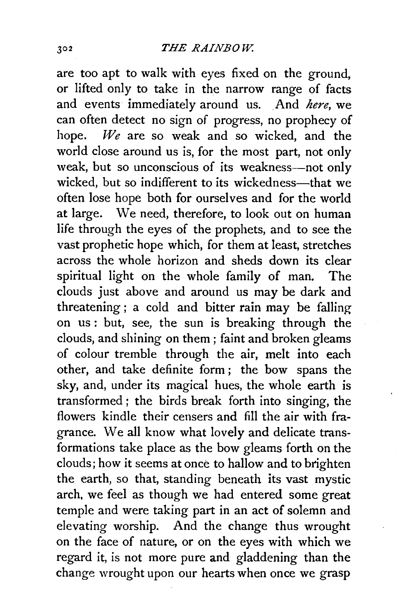are too apt to walk with eyes fixed on the ground, or lifted only to take in the narrow range of facts and events immediately around us. And *here,* we can often detect no sign of progress, no prophecy of hope. *We* are so weak and so wicked, and the world close around us is, for the most part, not only weak, but so unconscious of its weakness-not only wicked, but so indifferent to its wickedness—that we often lose hope both for ourselves and for the world at large. We need, therefore, to look out on human life through the eyes of the prophets, and to see the vast prophetic hope which, for them at least, stretches across the whole horizon and sheds down its clear spiritual light on the whole family of man. The clouds just above and around us may be dark and threatening ; a cold and bitter rain may be falling on us : but, see, the sun is breaking through the clouds, and shining on them ; faint and broken gleams of colour tremble through the air, melt into each other, and take definite form ; the bow spans the sky, and, under its magical hues, the whole earth is transformed ; the birds break forth into singing, the flowers kindle their censers and fill the air with fragrance. We all know what lovely and delicate transformations take place as the bow gleams forth on the clouds; how it seems at once to hallow and to brighten the earth, so that, standing beneath its vast mystic arch, we feel as though we had entered some great temple and were taking part in an act of solemn and elevating worship. And the change thus wrought on the face of nature, or on the eyes with which we regard it, is not more pure and gladdening than the change wrought upon our hearts when once we grasp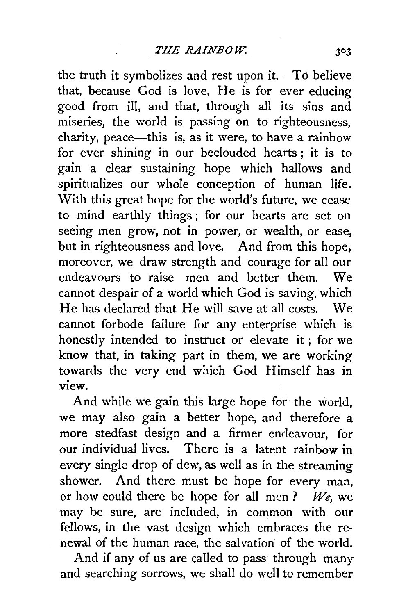the truth it symbolizes and rest upon it. To believe that, because God is love, He is for ever educing good from ill, and that, through all its sins and miseries, the world is passing on to righteousness, charity, peace-this is, as it were, to have a rainbow for ever shining in our beclouded hearts ; it is to gain a clear sustaining hope which hallows and spiritualizes our whole conception of human life. With this great hope for the world's future, we cease to mind earthly things ; for our hearts are set on seeing men grow, not in power, or wealth, or ease, but in righteousness and love. And from this hope, moreover, we draw strength and courage for all our endeavours to raise men and better them. We cannot despair of a world which God is saving, which He has declared that He will save at all costs. We cannot forbode failure for any enterprise which is honestly intended to instruct or elevate it ; for we know that, in taking part in them, we are working towards the very end which God Himself has in view.

And while we gain this large hope for the world, we may also gain a better hope, and therefore a more stedfast design and a firmer endeavour, for our individual lives. There is a latent rainbow in every single drop of dew, as well as in the streaming shower. And there must be hope for every man, or how could there be hope for all men ? *We,* we may be sure, are included, in common with our fellows, in the vast design which embraces the renewal of the human race, the salvation of the world.

And if any of us are called to pass through many and searching sorrows, we shall do well to remember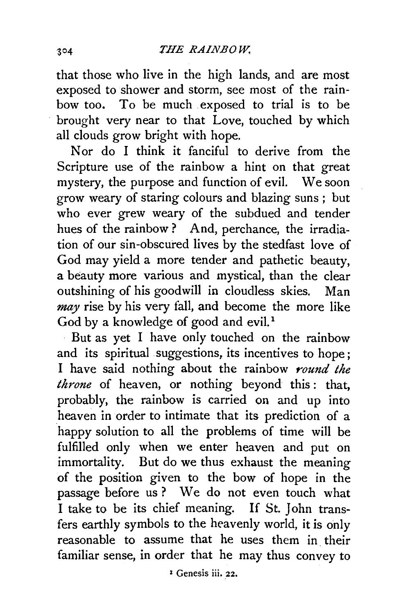that those who live in the high lands, and are most exposed to shower and storm, see most of the rainbow too. To be much exposed to trial is to be brought very near to that Love, touched by which all clouds grow bright with hope.

Nor do I think it fanciful to derive from the Scripture use of the rainbow a hint on that great mystery, the purpose and function of evil. We soon grow weary of staring colours and blazing suns ; but who ever grew weary of the subdued and tender hues of the rainbow? And, perchance, the irradiation of our sin-obscured lives by the stedfast love of God may yield a more tender and pathetic beauty, a beauty more various and mystical, than the clear outshining of his goodwill in cloudless skies. Man *may* rise by his very fall, and become the more like God by a knowledge of good and evil.<sup>1</sup>

But as yet I have only touched on the rainbow and its spiritual suggestions, its incentives to hope; I have said nothing about the rainbow *round the throne* of heaven, or nothing beyond this: that, probably, the rainbow is carried on and up into heaven in order to intimate that its prediction of a happy solution to all the problems of time will be fulfilled only when we enter heaven and put on immortality. But do we thus exhaust the meaning of the position given to the bow of hope in the passage before us ? We do not even touch what I take to be its chief meaning. If St. John transfers earthly symbols to the heavenly world, it is only reasonable to assume that he uses them in their familiar sense, in order that he may thus convey to

*1* Genesis iii. 22.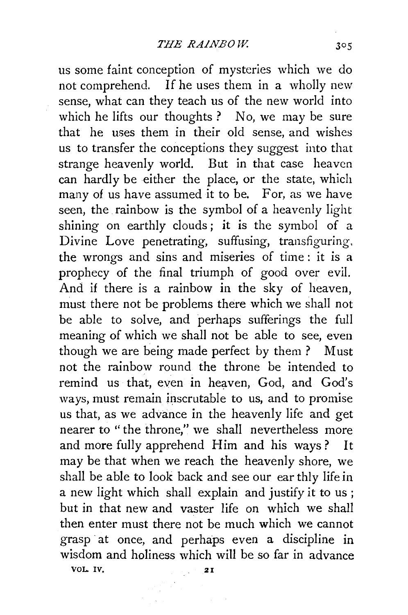us some faint conception of mysteries which we do not comprehend. If he uses them in a wholly new sense, what can they teach us of the new world into which he lifts our thoughts? No, we may be sure that he uses them in their old sense, and wishes us to transfer the conceptions they suggest into that strange heavenly world. But in that case heaven can hardly be either the place, or the state, which many of us have assumed it to be. For, as we have seen, the rainbow is the symbol of a heavenly light shining on earthly clouds; it is the symbol of a Divine Love penetrating, suffusing, transfiguring, the wrongs and sins and miseries of time : it is a prophecy of the final triumph of good over evil. And if there is a rainbow in the sky of heaven, must there not be problems there which we shall not be able to solve, and perhaps sufferings the full meaning of which we shall not be able to see, even though we are being made perfect by them ? Must not the rainbow round the throne be intended to remind us that, even in heaven, God, and God's ways, must remain inscrutable to us, and to promise us that, as we advance in the heavenly life and get nearer to "the throne," we shall nevertheless more and more fully apprehend Him and his ways? It may be that when we reach the heavenly shore, we shall be able to look back and see our earthly life in a new light which shall explain and justify it to us ; but in that new and vaster life on which we shall then enter must there not be much which we cannot grasp at once, and perhaps even a discipline in wisdom and holiness which will be so far in advance VOL. IV. 21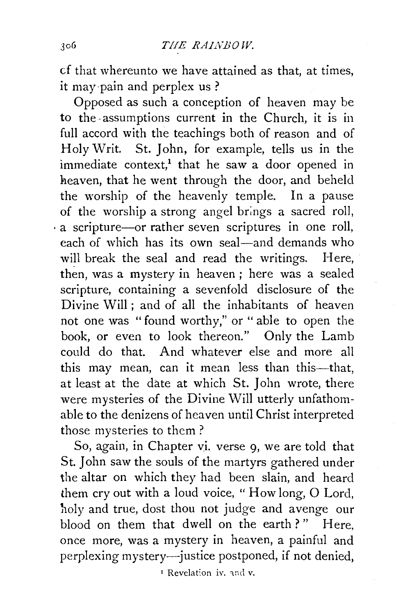cf that whereunto we have attained as that, at times, it may pain and perplex us ?

Opposed as such a conception of heaven may be to the- assumptions current in the Church, it is in full accord with the teachings both of reason and of Holy Writ. St. John, for example, tells us in the immediate context,<sup>1</sup> that he saw a door opened in heaven, that he went through the door, and beheld the worship of the heavenly temple. In a pause of the worship a strong angel brings a sacred roll, · a scripture-or rather seven scriptures in one roll, each of which has its own seal—and demands who will break the seal and read the writings. Here, then, was a mystery in heaven; here was a sealed scripture, containing a sevenfold disclosure of the Divine  $\text{Will}$ : and of all the inhabitants of heaven not one was "found worthy," or "able to open the book, or even to look thereon." Only the Lamb could do that. And whatever else and more all this may mean, can it mean less than this-that, at least at the date at which St. John wrote, there were mysteries of the Divine Will utterly unfathomable to the denizens of heaven until Christ interpreted those mysteries to them ?

So, again, in Chapter vi. verse 9, we are told that St. John saw the souls of the martyrs gathered under the altar on which they had been slain, and heard them cry out with a loud voice, " How long, 0 Lord, holy and true, dost thou not judge and avenge our blood on them that dwell on the earth?" Here, once more, was a mystery in heaven, a painful and perplexing mystery-justice postponed, if not denied,

<sup>1</sup> Revelation iv. and v.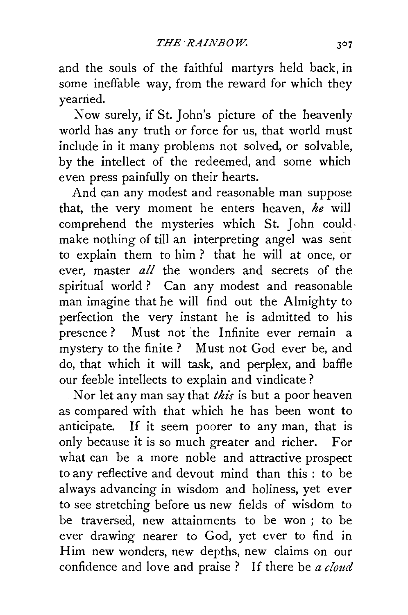and the souls of the faithful martyrs held back, in some ineffable way, from the reward for which they yearried.

Now surely, if St. John's picture of the heavenly world has any truth or force for us, that world must include in it many problems not solved, or solvable, by the intellect of the redeemed, and some which even press painfully on their hearts.

And can any modest and reasonable man suppose that, the very moment he enters heaven, *he* will comprehend the mysteries which St. John could· make nothing of till an interpreting angel was sent to explain them to him ? that he will at once, or ever, master *all* the wonders and secrets of the spiritual world ? Can any modest and reasonable man imagine that he will find out the Almighty to perfection the very instant he is admitted to his presence? Must not the Infinite ever remain a mystery to the finite? Must not God ever be, and do, that which it will task, and perplex, and baffle our feeble intellects to explain and vindicate ?

Nor let any man say that *this* is but a poor heaven as compared with that which he has been wont to anticipate. If it seem poorer to any man, that is only because it is so much greater and richer. For what can be a more noble and attractive prospect to any reflective and devout mind than this : to be always advancing in wisdom and holiness, yet ever to see stretching before us new fields of wisdom to be traversed, new attainments to be won ; to be ever drawing nearer to God, yet ever to find in Him new wonders, new depths, new claims on our confidence and love and praise ? If there be *a cloud*